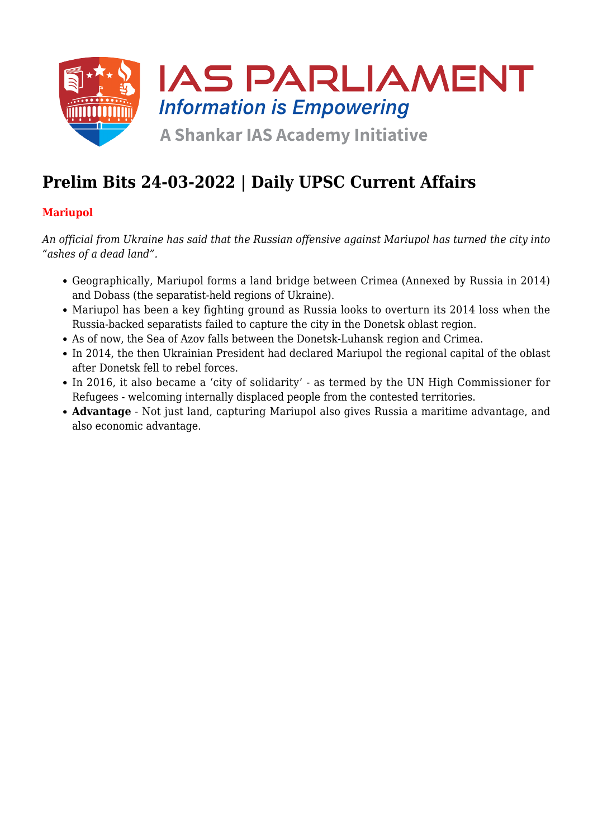

# **Prelim Bits 24-03-2022 | Daily UPSC Current Affairs**

# **Mariupol**

*An official from Ukraine has said that the Russian offensive against Mariupol has turned the city into "ashes of a dead land".*

- Geographically, Mariupol forms a land bridge between Crimea (Annexed by Russia in 2014) and Dobass (the separatist-held regions of Ukraine).
- Mariupol has been a key fighting ground as Russia looks to overturn its 2014 loss when the Russia-backed separatists failed to capture the city in the Donetsk oblast region.
- As of now, the Sea of Azov falls between the Donetsk-Luhansk region and Crimea.
- In 2014, the then Ukrainian President had declared Mariupol the regional capital of the oblast after Donetsk fell to rebel forces.
- In 2016, it also became a 'city of solidarity' as termed by the UN High Commissioner for Refugees - welcoming internally displaced people from the contested territories.
- **Advantage** Not just land, capturing Mariupol also gives Russia a maritime advantage, and also economic advantage.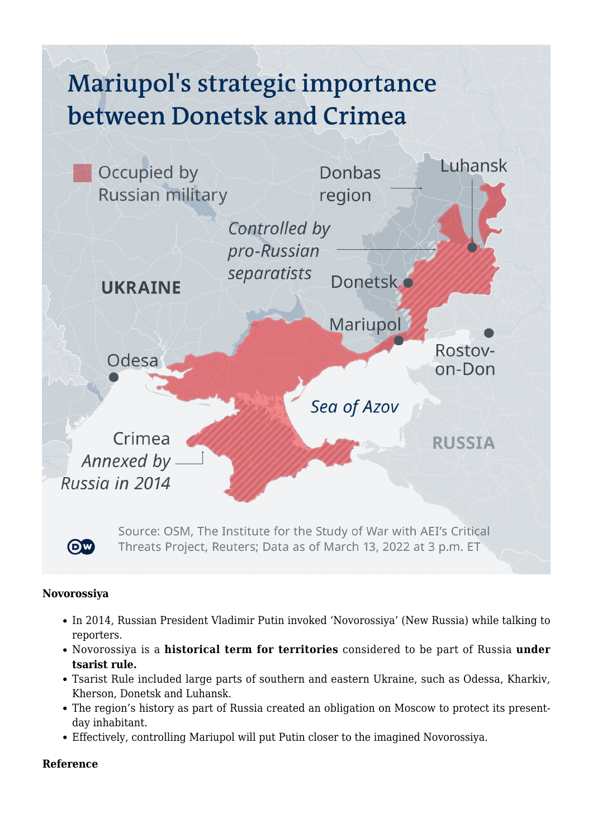# Mariupol's strategic importance between Donetsk and Crimea



#### **Novorossiya**

- In 2014, Russian President Vladimir Putin invoked 'Novorossiya' (New Russia) while talking to reporters.
- Novorossiya is a **historical term for territories** considered to be part of Russia **under tsarist rule.**
- Tsarist Rule included large parts of southern and eastern Ukraine, such as Odessa, Kharkiv, Kherson, Donetsk and Luhansk.
- The region's history as part of Russia created an obligation on Moscow to protect its presentday inhabitant.
- Effectively, controlling Mariupol will put Putin closer to the imagined Novorossiya.

#### **Reference**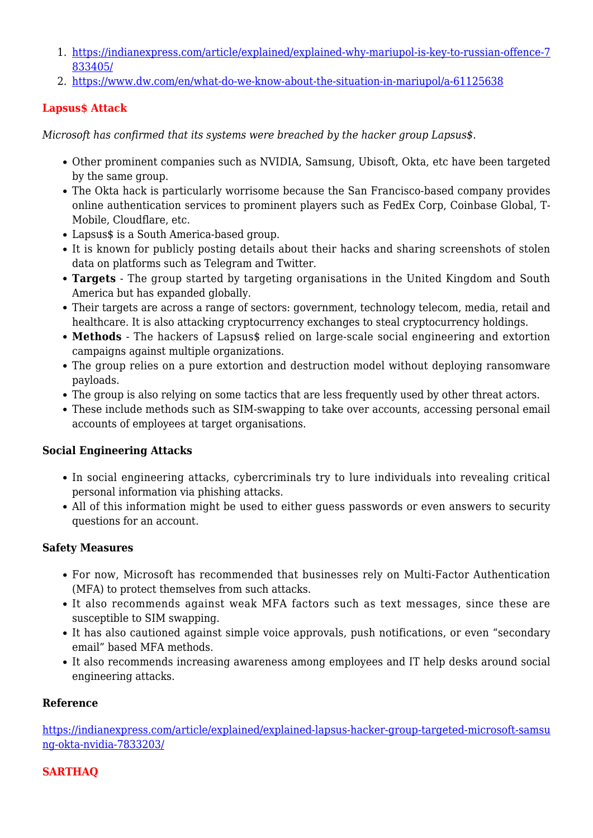- 1. [https://indianexpress.com/article/explained/explained-why-mariupol-is-key-to-russian-offence-7](https://indianexpress.com/article/explained/explained-why-mariupol-is-key-to-russian-offence-7833405/) [833405/](https://indianexpress.com/article/explained/explained-why-mariupol-is-key-to-russian-offence-7833405/)
- 2. <https://www.dw.com/en/what-do-we-know-about-the-situation-in-mariupol/a-61125638>

### **Lapsus\$ Attack**

*Microsoft has confirmed that its systems were breached by the hacker group Lapsus\$.*

- Other prominent companies such as NVIDIA, Samsung, Ubisoft, Okta, etc have been targeted by the same group.
- The Okta hack is particularly worrisome because the San Francisco-based company provides online authentication services to prominent players such as FedEx Corp, Coinbase Global, T-Mobile, Cloudflare, etc.
- Lapsus\$ is a South America-based group.
- It is known for publicly posting details about their hacks and sharing screenshots of stolen data on platforms such as Telegram and Twitter.
- **Targets** The group started by targeting organisations in the United Kingdom and South America but has expanded globally.
- Their targets are across a range of sectors: government, technology telecom, media, retail and healthcare. It is also attacking cryptocurrency exchanges to steal cryptocurrency holdings.
- **Methods** The hackers of Lapsus\$ relied on large-scale social engineering and extortion campaigns against multiple organizations.
- The group relies on a pure extortion and destruction model without deploying ransomware payloads.
- The group is also relying on some tactics that are less frequently used by other threat actors.
- These include methods such as SIM-swapping to take over accounts, accessing personal email accounts of employees at target organisations.

#### **Social Engineering Attacks**

- In social engineering attacks, cybercriminals try to lure individuals into revealing critical personal information via phishing attacks.
- All of this information might be used to either guess passwords or even answers to security questions for an account.

#### **Safety Measures**

- For now, Microsoft has recommended that businesses rely on Multi-Factor Authentication (MFA) to protect themselves from such attacks.
- It also recommends against weak MFA factors such as text messages, since these are susceptible to SIM swapping.
- It has also cautioned against simple voice approvals, push notifications, or even "secondary email" based MFA methods.
- It also recommends increasing awareness among employees and IT help desks around social engineering attacks.

#### **Reference**

[https://indianexpress.com/article/explained/explained-lapsus-hacker-group-targeted-microsoft-samsu](https://indianexpress.com/article/explained/explained-lapsus-hacker-group-targeted-microsoft-samsung-okta-nvidia-7833203/) [ng-okta-nvidia-7833203/](https://indianexpress.com/article/explained/explained-lapsus-hacker-group-targeted-microsoft-samsung-okta-nvidia-7833203/)

# **SARTHAQ**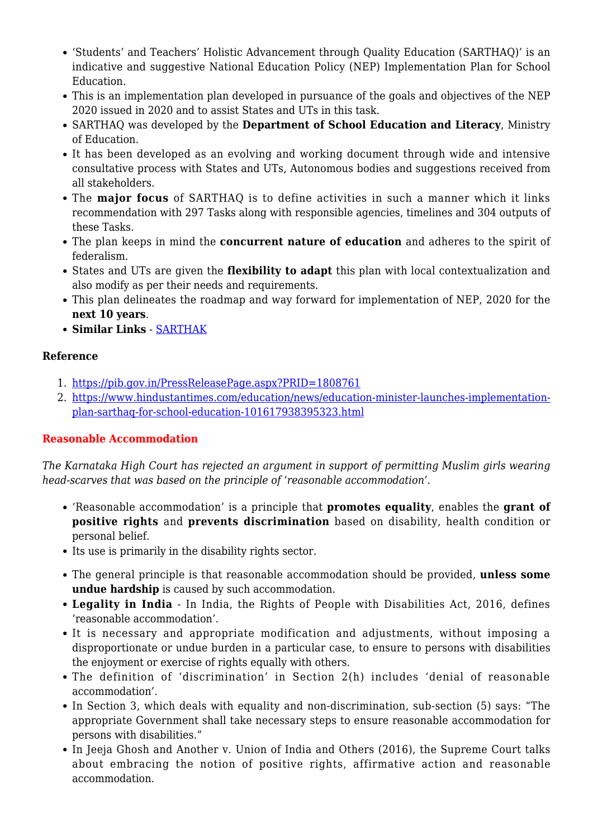- 'Students' and Teachers' Holistic Advancement through Quality Education (SARTHAQ)' is an indicative and suggestive National Education Policy (NEP) Implementation Plan for School Education.
- This is an implementation plan developed in pursuance of the goals and objectives of the NEP 2020 issued in 2020 and to assist States and UTs in this task.
- SARTHAQ was developed by the **Department of School Education and Literacy**, Ministry of Education.
- It has been developed as an evolving and working document through wide and intensive consultative process with States and UTs, Autonomous bodies and suggestions received from all stakeholders.
- The **major focus** of SARTHAQ is to define activities in such a manner which it links recommendation with 297 Tasks along with responsible agencies, timelines and 304 outputs of these Tasks.
- The plan keeps in mind the **concurrent nature of education** and adheres to the spirit of federalism.
- States and UTs are given the **flexibility to adapt** this plan with local contextualization and also modify as per their needs and requirements.
- This plan delineates the roadmap and way forward for implementation of NEP, 2020 for the **next 10 years**.
- **Similar Links** - [SARTHAK](https://www.iasparliament.com/current-affairs/prelim-bits-08-11-2021-upsc-daily-current-affairs)

#### **Reference**

- 1. <https://pib.gov.in/PressReleasePage.aspx?PRID=1808761>
- 2. [https://www.hindustantimes.com/education/news/education-minister-launches-implementation](https://www.hindustantimes.com/education/news/education-minister-launches-implementation-plan-sarthaq-for-school-education-101617938395323.html)[plan-sarthaq-for-school-education-101617938395323.html](https://www.hindustantimes.com/education/news/education-minister-launches-implementation-plan-sarthaq-for-school-education-101617938395323.html)

# **Reasonable Accommodation**

*The Karnataka High Court has rejected an argument in support of permitting Muslim girls wearing head-scarves that was based on the principle of 'reasonable accommodation'.*

- 'Reasonable accommodation' is a principle that **promotes equality**, enables the **grant of positive rights** and **prevents discrimination** based on disability, health condition or personal belief.
- Its use is primarily in the disability rights sector.
- The general principle is that reasonable accommodation should be provided, **unless some undue hardship** is caused by such accommodation.
- **Legality in India** In India, the Rights of People with Disabilities Act, 2016, defines 'reasonable accommodation'.
- It is necessary and appropriate modification and adjustments, without imposing a disproportionate or undue burden in a particular case, to ensure to persons with disabilities the enjoyment or exercise of rights equally with others.
- The definition of 'discrimination' in Section 2(h) includes 'denial of reasonable accommodation'.
- In Section 3, which deals with equality and non-discrimination, sub-section (5) says: "The appropriate Government shall take necessary steps to ensure reasonable accommodation for persons with disabilities."
- In Jeeja Ghosh and Another v. Union of India and Others (2016), the Supreme Court talks about embracing the notion of positive rights, affirmative action and reasonable accommodation.